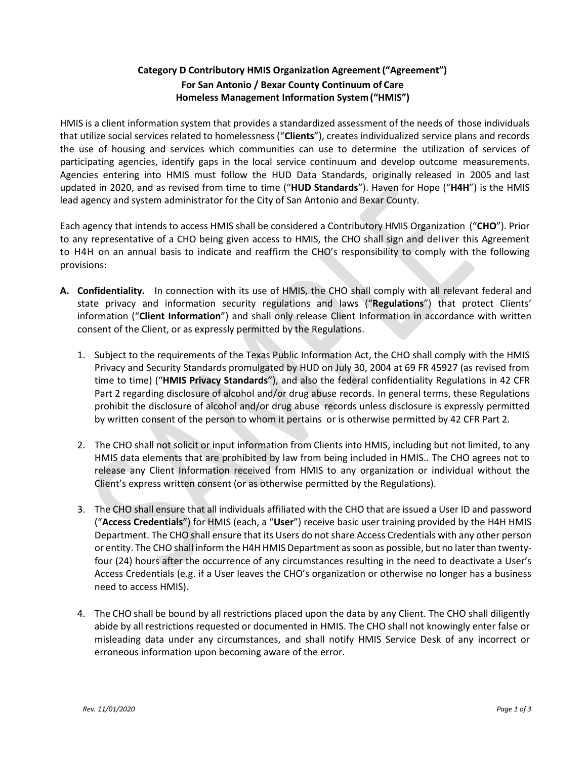## **Category D Contributory HMIS Organization Agreement("Agreement") For San Antonio / Bexar County Continuum of Care Homeless Management Information System("HMIS")**

HMIS is a client information system that provides a standardized assessment of the needs of those individuals that utilize social services related to homelessness ("**Clients**"), creates individualized service plans and records the use of housing and services which communities can use to determine the utilization of services of participating agencies, identify gaps in the local service continuum and develop outcome measurements. Agencies entering into HMIS must follow the HUD Data Standards, originally released in 2005 and last updated in 2020, and as revised from time to time ("**HUD Standards**"). Haven for Hope ("**H4H**") is the HMIS lead agency and system administrator for the City of San Antonio and Bexar County.

Each agency that intends to access HMIS shall be considered a Contributory HMIS Organization ("**CHO**"). Prior to any representative of a CHO being given access to HMIS, the CHO shall sign and deliver this Agreement to H4H on an annual basis to indicate and reaffirm the CHO's responsibility to comply with the following provisions:

- **A. Confidentiality.** In connection with its use of HMIS, the CHO shall comply with all relevant federal and state privacy and information security regulations and laws ("**Regulations**") that protect Clients' information ("**Client Information**") and shall only release Client Information in accordance with written consent of the Client, or as expressly permitted by the Regulations.
	- 1. Subject to the requirements of the Texas Public Information Act, the CHO shall comply with the HMIS Privacy and Security Standards promulgated by HUD on July 30, 2004 at 69 FR 45927 (as revised from time to time) ("**HMIS Privacy Standards**"), and also the federal confidentiality Regulations in 42 CFR Part 2 regarding disclosure of alcohol and/or drug abuse records. In general terms, these Regulations prohibit the disclosure of alcohol and/or drug abuse records unless disclosure is expressly permitted by written consent of the person to whom it pertains or is otherwise permitted by 42 CFR Part 2.
	- 2. The CHO shall not solicit or input information from Clients into HMIS, including but not limited, to any HMIS data elements that are prohibited by law from being included in HMIS.. The CHO agrees not to release any Client Information received from HMIS to any organization or individual without the Client's express written consent (or as otherwise permitted by the Regulations).
	- 3. The CHO shall ensure that all individuals affiliated with the CHO that are issued a User ID and password ("**Access Credentials**") for HMIS (each, a "**User**") receive basic user training provided by the H4H HMIS Department. The CHO shall ensure that its Users do not share Access Credentials with any other person or entity. The CHO shall inform the H4H HMIS Department as soon as possible, but no later than twentyfour (24) hours after the occurrence of any circumstances resulting in the need to deactivate a User's Access Credentials (e.g. if a User leaves the CHO's organization or otherwise no longer has a business need to access HMIS).
	- 4. The CHO shall be bound by all restrictions placed upon the data by any Client. The CHO shall diligently abide by all restrictions requested or documented in HMIS. The CHO shall not knowingly enter false or misleading data under any circumstances, and shall notify HMIS Service Desk of any incorrect or erroneous information upon becoming aware of the error.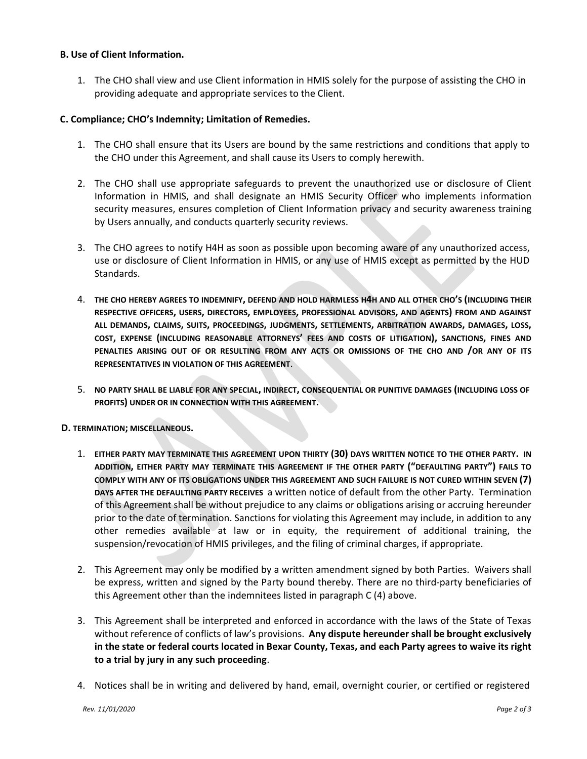## **B. Use of Client Information.**

1. The CHO shall view and use Client information in HMIS solely for the purpose of assisting the CHO in providing adequate and appropriate services to the Client.

## **C. Compliance; CHO's Indemnity; Limitation of Remedies.**

- 1. The CHO shall ensure that its Users are bound by the same restrictions and conditions that apply to the CHO under this Agreement, and shall cause its Users to comply herewith.
- 2. The CHO shall use appropriate safeguards to prevent the unauthorized use or disclosure of Client Information in HMIS, and shall designate an HMIS Security Officer who implements information security measures, ensures completion of Client Information privacy and security awareness training by Users annually, and conducts quarterly security reviews.
- 3. The CHO agrees to notify H4H as soon as possible upon becoming aware of any unauthorized access, use or disclosure of Client Information in HMIS, or any use of HMIS except as permitted by the HUD Standards.
- 4. **THE CHO HEREBY AGREES TO INDEMNIFY, DEFEND AND HOLD HARMLESS H4H AND ALL OTHER CHO'S (INCLUDING THEIR RESPECTIVE OFFICERS, USERS, DIRECTORS, EMPLOYEES, PROFESSIONAL ADVISORS, AND AGENTS) FROM AND AGAINST**  ALL DEMANDS, CLAIMS, SUITS, PROCEEDINGS, JUDGMENTS, SETTLEMENTS, ARBITRATION AWARDS, DAMAGES, LOSS, **COST, EXPENSE (INCLUDING REASONABLE ATTORNEYS' FEES AND COSTS OF LITIGATION), SANCTIONS, FINES AND PENALTIES ARISING OUT OF OR RESULTING FROM ANY ACTS OR OMISSIONS OF THE CHO AND /OR ANY OF ITS REPRESENTATIVES IN VIOLATION OF THIS AGREEMENT**.
- 5. **NO PARTY SHALL BE LIABLE FOR ANY SPECIAL, INDIRECT, CONSEQUENTIAL OR PUNITIVE DAMAGES (INCLUDING LOSS OF PROFITS) UNDER OR IN CONNECTION WITH THIS AGREEMENT.**
- **D. TERMINATION; MISCELLANEOUS.**
	- 1. **EITHER PARTY MAY TERMINATE THIS AGREEMENT UPON THIRTY (30) DAYS WRITTEN NOTICE TO THE OTHER PARTY. IN ADDITION, EITHER PARTY MAY TERMINATE THIS AGREEMENT IF THE OTHER PARTY ("DEFAULTING PARTY") FAILS TO COMPLY WITH ANY OF ITS OBLIGATIONS UNDER THIS AGREEMENT AND SUCH FAILURE IS NOT CURED WITHIN SEVEN (7) DAYS AFTER THE DEFAULTING PARTY RECEIVES** a written notice of default from the other Party. Termination of this Agreement shall be without prejudice to any claims or obligations arising or accruing hereunder prior to the date of termination. Sanctions for violating this Agreement may include, in addition to any other remedies available at law or in equity, the requirement of additional training, the suspension/revocation of HMIS privileges, and the filing of criminal charges, if appropriate.
	- 2. This Agreement may only be modified by a written amendment signed by both Parties. Waivers shall be express, written and signed by the Party bound thereby. There are no third-party beneficiaries of this Agreement other than the indemnitees listed in paragraph C (4) above.
	- 3. This Agreement shall be interpreted and enforced in accordance with the laws of the State of Texas without reference of conflicts of law's provisions. **Any dispute hereunder shall be brought exclusively in the state or federal courts located in Bexar County, Texas, and each Party agrees to waive its right to a trial by jury in any such proceeding**.
	- 4. Notices shall be in writing and delivered by hand, email, overnight courier, or certified or registered